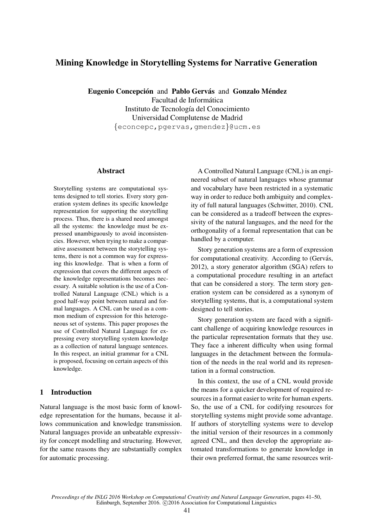# Mining Knowledge in Storytelling Systems for Narrative Generation

Eugenio Concepción and Pablo Gervás and Gonzalo Méndez Facultad de Informática Instituto de Tecnología del Conocimiento Universidad Complutense de Madrid {econcepc,pgervas,gmendez}@ucm.es

### **Abstract**

Storytelling systems are computational systems designed to tell stories. Every story generation system defines its specific knowledge representation for supporting the storytelling process. Thus, there is a shared need amongst all the systems: the knowledge must be expressed unambiguously to avoid inconsistencies. However, when trying to make a comparative assessment between the storytelling systems, there is not a common way for expressing this knowledge. That is when a form of expression that covers the different aspects of the knowledge representations becomes necessary. A suitable solution is the use of a Controlled Natural Language (CNL) which is a good half-way point between natural and formal languages. A CNL can be used as a common medium of expression for this heterogeneous set of systems. This paper proposes the use of Controlled Natural Language for expressing every storytelling system knowledge as a collection of natural language sentences. In this respect, an initial grammar for a CNL is proposed, focusing on certain aspects of this knowledge.

### 1 Introduction

Natural language is the most basic form of knowledge representation for the humans, because it allows communication and knowledge transmission. Natural languages provide an unbeatable expressivity for concept modelling and structuring. However, for the same reasons they are substantially complex for automatic processing.

A Controlled Natural Language (CNL) is an engineered subset of natural languages whose grammar and vocabulary have been restricted in a systematic way in order to reduce both ambiguity and complexity of full natural languages (Schwitter, 2010). CNL can be considered as a tradeoff between the expressivity of the natural languages, and the need for the orthogonality of a formal representation that can be handled by a computer.

Story generation systems are a form of expression for computational creativity. According to (Gervás, 2012), a story generator algorithm (SGA) refers to a computational procedure resulting in an artefact that can be considered a story. The term story generation system can be considered as a synonym of storytelling systems, that is, a computational system designed to tell stories.

Story generation system are faced with a significant challenge of acquiring knowledge resources in the particular representation formats that they use. They face a inherent difficulty when using formal languages in the detachment between the formulation of the needs in the real world and its representation in a formal construction.

In this context, the use of a CNL would provide the means for a quicker development of required resources in a format easier to write for human experts. So, the use of a CNL for codifying resources for storytelling systems might provide some advantage. If authors of storytelling systems were to develop the initial version of their resources in a commonly agreed CNL, and then develop the appropriate automated transformations to generate knowledge in their own preferred format, the same resources writ-

*Proceedings of the INLG 2016 Workshop on Computational Creativity and Natural Language Generation*, pages 41–50, Edinburgh, September 2016. C2016 Association for Computational Linguistics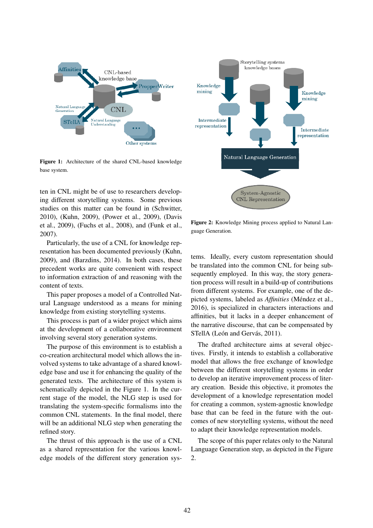

Figure 1: Architecture of the shared CNL-based knowledge base system.

ten in CNL might be of use to researchers developing different storytelling systems. Some previous studies on this matter can be found in (Schwitter, 2010), (Kuhn, 2009), (Power et al., 2009), (Davis et al., 2009), (Fuchs et al., 2008), and (Funk et al., 2007).

Particularly, the use of a CNL for knowledge representation has been documented previously (Kuhn, 2009), and (Barzdins, 2014). In both cases, these precedent works are quite convenient with respect to information extraction of and reasoning with the content of texts.

This paper proposes a model of a Controlled Natural Language understood as a means for mining knowledge from existing storytelling systems.

This process is part of a wider project which aims at the development of a collaborative environment involving several story generation systems.

The purpose of this environment is to establish a co-creation architectural model which allows the involved systems to take advantage of a shared knowledge base and use it for enhancing the quality of the generated texts. The architecture of this system is schematically depicted in the Figure 1. In the current stage of the model, the NLG step is used for translating the system-specific formalisms into the common CNL statements. In the final model, there will be an additional NLG step when generating the refined story.

The thrust of this approach is the use of a CNL as a shared representation for the various knowledge models of the different story generation sys-



Figure 2: Knowledge Mining process applied to Natural Language Generation.

tems. Ideally, every custom representation should be translated into the common CNL for being subsequently employed. In this way, the story generation process will result in a build-up of contributions from different systems. For example, one of the depicted systems, labeled as *Affinities* (Méndez et al., 2016), is specialized in characters interactions and affinities, but it lacks in a deeper enhancement of the narrative discourse, that can be compensated by STellA (León and Gervás, 2011).

The drafted architecture aims at several objectives. Firstly, it intends to establish a collaborative model that allows the free exchange of knowledge between the different storytelling systems in order to develop an iterative improvement process of literary creation. Beside this objective, it promotes the development of a knowledge representation model for creating a common, system-agnostic knowledge base that can be feed in the future with the outcomes of new storytelling systems, without the need to adapt their knowledge representation models.

The scope of this paper relates only to the Natural Language Generation step, as depicted in the Figure 2.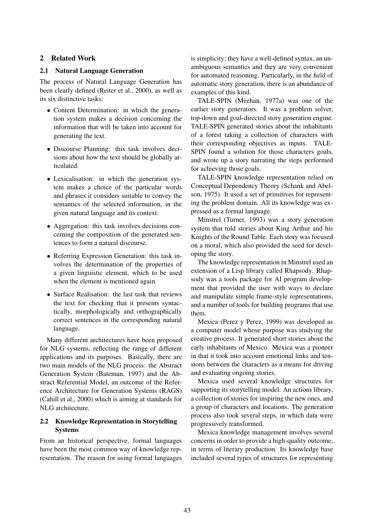### 2 Related Work

#### 2.1 Natural Language Generation

The process of Natural Language Generation has been clearly defined (Reiter et al., 2000), as well as its six distinctive tasks:

- Content Determination: in which the generation system makes a decision concerning the information that will be taken into account for generating the text.
- Discourse Planning: this task involves decisions about how the text should be globally articulated.
- Lexicalisation: in which the generation system makes a choice of the particular words and phrases it considers suitable to convey the semantics of the selected information, in the given natural language and its context.
- Aggregation: this task involves decisions concerning the composition of the generated sentences to form a natural discourse.
- Referring Expression Generation: this task involves the determination of the properties of a given linguistic element, which to be used when the element is mentioned again.
- Surface Realisation: the last task that reviews the text for checking that it presents syntactically, morphologically and orthographically correct sentences in the corresponding natural language.

Many different architectures have been proposed for NLG systems, reflecting the range of different applications and its purposes. Basically, there are two main models of the NLG process: the Abstract Generation System (Bateman, 1997) and the Abstract Referential Model, an outcome of the Reference Architecture for Generation Systems (RAGS) (Cahill et al., 2000) which is aiming at standards for NLG architecture.

### 2.2 Knowledge Representation in Storytelling Systems

From an historical perspective, formal languages have been the most common way of knowledge representation. The reason for using formal languages is simplicity; they have a well-defined syntax, an unambiguous semantics and they are very convenient for automated reasoning. Particularly, in the field of automatic story generation, there is an abundance of examples of this kind.

TALE-SPIN (Meehan, 1977a) was one of the earlier story generators. It was a problem solver, top-down and goal-directed story generation engine. TALE-SPIN generated stories about the inhabitants of a forest taking a collection of characters with their corresponding objectives as inputs. TALE-SPIN found a solution for those characters goals, and wrote up a story narrating the steps performed for achieving those goals.

TALE-SPIN knowledge representation relied on Conceptual Dependency Theory (Schank and Abelson, 1975). It used a set of primitives for representing the problem domain. All its knowledge was expressed as a formal language.

Minstrel (Turner, 1993) was a story generation system that told stories about King Arthur and his Knights of the Round Table. Each story was focused on a moral, which also provided the seed for developing the story.

The knowledge representation in Minstrel used an extension of a Lisp library called Rhapsody. Rhapsody was a tools package for AI program development that provided the user with ways to declare and manipulate simple frame-style representations, and a number of tools for building programs that use them.

Mexica (Perez y Perez, 1999) was developed as a computer model whose purpose was studying the creative process. It generated short stories about the early inhabitants of Mexico. Mexica was a pioneer in that it took into account emotional links and tensions between the characters as a means for driving and evaluating ongoing stories.

Mexica used several knowledge structures for supporting its storytelling model: An actions library, a collection of stories for inspiring the new ones, and a group of characters and locations. The generation process also took several steps, in which data were progressively transformed.

Mexica knowledge management involves several concerns in order to provide a high-quality outcome, in terms of literary production. Its knowledge base included several types of structures for representing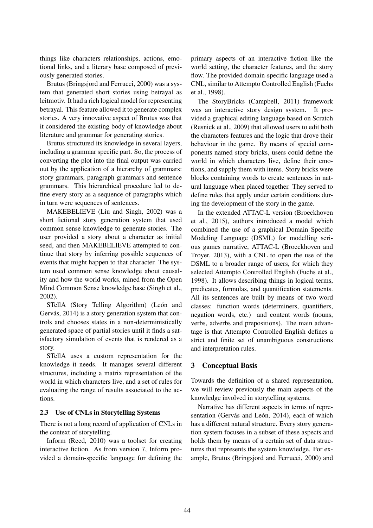things like characters relationships, actions, emotional links, and a literary base composed of previously generated stories.

Brutus (Bringsjord and Ferrucci, 2000) was a system that generated short stories using betrayal as leitmotiv. It had a rich logical model for representing betrayal. This feature allowed it to generate complex stories. A very innovative aspect of Brutus was that it considered the existing body of knowledge about literature and grammar for generating stories.

Brutus structured its knowledge in several layers, including a grammar specific part. So, the process of converting the plot into the final output was carried out by the application of a hierarchy of grammars: story grammars, paragraph grammars and sentence grammars. This hierarchical procedure led to define every story as a sequence of paragraphs which in turn were sequences of sentences.

MAKEBELIEVE (Liu and Singh, 2002) was a short fictional story generation system that used common sense knowledge to generate stories. The user provided a story about a character as initial seed, and then MAKEBELIEVE attempted to continue that story by inferring possible sequences of events that might happen to that character. The system used common sense knowledge about causality and how the world works, mined from the Open Mind Common Sense knowledge base (Singh et al., 2002).

STellA (Story Telling Algorithm) (León and Gervás, 2014) is a story generation system that controls and chooses states in a non-deterministically generated space of partial stories until it finds a satisfactory simulation of events that is rendered as a story.

STellA uses a custom representation for the knowledge it needs. It manages several different structures, including a matrix representation of the world in which characters live, and a set of rules for evaluating the range of results associated to the actions.

#### 2.3 Use of CNLs in Storytelling Systems

There is not a long record of application of CNLs in the context of storytelling.

Inform (Reed, 2010) was a toolset for creating interactive fiction. As from version 7, Inform provided a domain-specific language for defining the

primary aspects of an interactive fiction like the world setting, the character features, and the story flow. The provided domain-specific language used a CNL, similar to Attempto Controlled English (Fuchs et al., 1998).

The StoryBricks (Campbell, 2011) framework was an interactive story design system. It provided a graphical editing language based on Scratch (Resnick et al., 2009) that allowed users to edit both the characters features and the logic that drove their behaviour in the game. By means of special components named story bricks, users could define the world in which characters live, define their emotions, and supply them with items. Story bricks were blocks containing words to create sentences in natural language when placed together. They served to define rules that apply under certain conditions during the development of the story in the game.

In the extended ATTAC-L version (Broeckhoven et al., 2015), authors introduced a model which combined the use of a graphical Domain Specific Modeling Language (DSML) for modelling serious games narrative, ATTAC-L (Broeckhoven and Troyer, 2013), with a CNL to open the use of the DSML to a broader range of users, for which they selected Attempto Controlled English (Fuchs et al., 1998). It allows describing things in logical terms, predicates, formulas, and quantification statements. All its sentences are built by means of two word classes: function words (determiners, quantifiers, negation words, etc.) and content words (nouns, verbs, adverbs and prepositions). The main advantage is that Attempto Controlled English defines a strict and finite set of unambiguous constructions and interpretation rules.

#### 3 Conceptual Basis

Towards the definition of a shared representation, we will review previously the main aspects of the knowledge involved in storytelling systems.

Narrative has different aspects in terms of representation (Gervás and León, 2014), each of which has a different natural structure. Every story generation system focuses in a subset of these aspects and holds them by means of a certain set of data structures that represents the system knowledge. For example, Brutus (Bringsjord and Ferrucci, 2000) and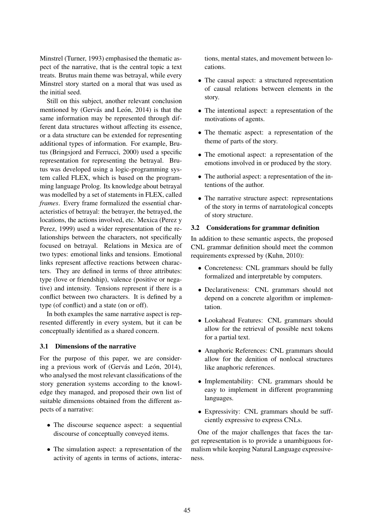Minstrel (Turner, 1993) emphasised the thematic aspect of the narrative, that is the central topic a text treats. Brutus main theme was betrayal, while every Minstrel story started on a moral that was used as the initial seed.

Still on this subject, another relevant conclusion mentioned by (Gervás and León, 2014) is that the same information may be represented through different data structures without affecting its essence, or a data structure can be extended for representing additional types of information. For example, Brutus (Bringsjord and Ferrucci, 2000) used a specific representation for representing the betrayal. Brutus was developed using a logic-programming system called FLEX, which is based on the programming language Prolog. Its knowledge about betrayal was modelled by a set of statements in FLEX, called *frames*. Every frame formalized the essential characteristics of betrayal: the betrayer, the betrayed, the locations, the actions involved, etc. Mexica (Perez y Perez, 1999) used a wider representation of the relationships between the characters, not specifically focused on betrayal. Relations in Mexica are of two types: emotional links and tensions. Emotional links represent affective reactions between characters. They are defined in terms of three attributes: type (love or friendship), valence (positive or negative) and intensity. Tensions represent if there is a conflict between two characters. It is defined by a type (of conflict) and a state (on or off).

In both examples the same narrative aspect is represented differently in every system, but it can be conceptually identified as a shared concern.

#### 3.1 Dimensions of the narrative

For the purpose of this paper, we are considering a previous work of (Gervás and León, 2014), who analysed the most relevant classifications of the story generation systems according to the knowledge they managed, and proposed their own list of suitable dimensions obtained from the different aspects of a narrative:

- The discourse sequence aspect: a sequential discourse of conceptually conveyed items.
- The simulation aspect: a representation of the activity of agents in terms of actions, interac-

tions, mental states, and movement between locations.

- The causal aspect: a structured representation of causal relations between elements in the story.
- The intentional aspect: a representation of the motivations of agents.
- The thematic aspect: a representation of the theme of parts of the story.
- The emotional aspect: a representation of the emotions involved in or produced by the story.
- The authorial aspect: a representation of the intentions of the author.
- The narrative structure aspect: representations of the story in terms of narratological concepts of story structure.

### 3.2 Considerations for grammar definition

In addition to these semantic aspects, the proposed CNL grammar definition should meet the common requirements expressed by (Kuhn, 2010):

- Concreteness: CNL grammars should be fully formalized and interpretable by computers.
- Declarativeness: CNL grammars should not depend on a concrete algorithm or implementation.
- Lookahead Features: CNL grammars should allow for the retrieval of possible next tokens for a partial text.
- Anaphoric References: CNL grammars should allow for the denition of nonlocal structures like anaphoric references.
- Implementability: CNL grammars should be easy to implement in different programming languages.
- Expressivity: CNL grammars should be suffciently expressive to express CNLs.

One of the major challenges that faces the target representation is to provide a unambiguous formalism while keeping Natural Language expressiveness.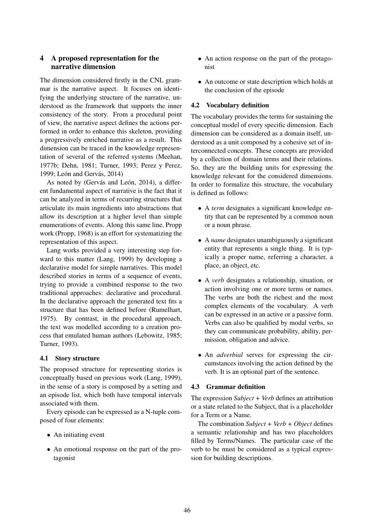# 4 A proposed representation for the narrative dimension

The dimension considered firstly in the CNL grammar is the narrative aspect. It focuses on identifying the underlying structure of the narrative, understood as the framework that supports the inner consistency of the story. From a procedural point of view, the narrative aspect defines the actions performed in order to enhance this skeleton, providing a progressively enriched narrative as a result. This dimension can be traced in the knowledge representation of several of the referred systems (Meehan, 1977b; Dehn, 1981; Turner, 1993; Perez y Perez, 1999; León and Gervás,  $2014$ )

As noted by (Gervás and León, 2014), a different fundamental aspect of narrative is the fact that it can be analyzed in terms of recurring structures that articulate its main ingredients into abstractions that allow its description at a higher level than simple enumerations of events. Along this same line, Propp work (Propp, 1968) is an effort for systematizing the representation of this aspect.

Lang works provided a very interesting step forward to this matter (Lang, 1999) by developing a declarative model for simple narratives. This model described stories in terms of a sequence of events, trying to provide a combined response to the two traditional approaches: declarative and procedural. In the declarative approach the generated text fits a structure that has been defined before (Rumelhart, 1975). By contrast, in the procedural approach, the text was modelled according to a creation process that emulated human authors (Lebowitz, 1985; Turner, 1993).

### 4.1 Story structure

The proposed structure for representing stories is conceptually based on previous work (Lang, 1999), in the sense of a story is composed by a setting and an episode list, which both have temporal intervals associated with them.

Every episode can be expressed as a N-tuple composed of four elements:

- An initiating event
- An emotional response on the part of the protagonist
- An action response on the part of the protagonist
- An outcome or state description which holds at the conclusion of the episode

# 4.2 Vocabulary definition

The vocabulary provides the terms for sustaining the conceptual model of every specific dimension. Each dimension can be considered as a domain itself, understood as a unit composed by a cohesive set of interconnected concepts. These concepts are provided by a collection of domain terms and their relations. So, they are the building units for expressing the knowledge relevant for the considered dimensions. In order to formalize this structure, the vocabulary is defined as follows:

- A *term* designates a significant knowledge entity that can be represented by a common noun or a noun phrase.
- A *name* designates unambiguously a significant entity that represents a single thing. It is typically a proper name, referring a character, a place, an object, etc.
- A *verb* designates a relationship, situation, or action involving one or more terms or names. The verbs are both the richest and the most complex elements of the vocabulary. A verb can be expressed in an active or a passive form. Verbs can also be qualified by modal verbs, so they can communicate probability, ability, permission, obligation and advice.
- An *adverbial* serves for expressing the circumstances involving the action defined by the verb. It is an optional part of the sentence.

### 4.3 Grammar definition

The expression *Subject + Verb* defines an attribution or a state related to the Subject, that is a placeholder for a Term or a Name.

The combination *Subject + Verb + Object* defines a semantic relationship and has two placeholders filled by Terms/Names. The particular case of the verb to be must be considered as a typical expression for building descriptions.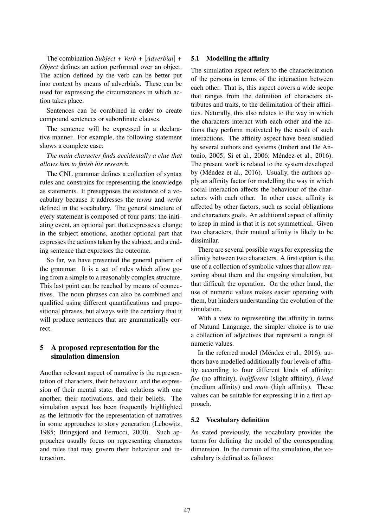The combination *Subject + Verb +* [*Adverbial*] *+ Object* defines an action performed over an object. The action defined by the verb can be better put into context by means of adverbials. These can be used for expressing the circumstances in which action takes place.

Sentences can be combined in order to create compound sentences or subordinate clauses.

The sentence will be expressed in a declarative manner. For example, the following statement shows a complete case:

*The main character finds accidentally a clue that allows him to finish his research*.

The CNL grammar defines a collection of syntax rules and constrains for representing the knowledge as statements. It presupposes the existence of a vocabulary because it addresses the *terms* and *verbs* defined in the vocabulary. The general structure of every statement is composed of four parts: the initiating event, an optional part that expresses a change in the subject emotions, another optional part that expresses the actions taken by the subject, and a ending sentence that expresses the outcome.

So far, we have presented the general pattern of the grammar. It is a set of rules which allow going from a simple to a reasonably complex structure. This last point can be reached by means of connectives. The noun phrases can also be combined and qualified using different quantifications and prepositional phrases, but always with the certainty that it will produce sentences that are grammatically correct.

# 5 A proposed representation for the simulation dimension

Another relevant aspect of narrative is the representation of characters, their behaviour, and the expression of their mental state, their relations with one another, their motivations, and their beliefs. The simulation aspect has been frequently highlighted as the leitmotiv for the representation of narratives in some approaches to story generation (Lebowitz, 1985; Bringsjord and Ferrucci, 2000). Such approaches usually focus on representing characters and rules that may govern their behaviour and interaction.

### 5.1 Modelling the affinity

The simulation aspect refers to the characterization of the persona in terms of the interaction between each other. That is, this aspect covers a wide scope that ranges from the definition of characters attributes and traits, to the delimitation of their affinities. Naturally, this also relates to the way in which the characters interact with each other and the actions they perform motivated by the result of such interactions. The affinity aspect have been studied by several authors and systems (Imbert and De Antonio, 2005; Si et al., 2006; Méndez et al., 2016). The present work is related to the system developed by (Méndez et al., 2016). Usually, the authors apply an affinity factor for modelling the way in which social interaction affects the behaviour of the characters with each other. In other cases, affinity is affected by other factors, such as social obligations and characters goals. An additional aspect of affinity to keep in mind is that it is not symmetrical. Given two characters, their mutual affinity is likely to be dissimilar.

There are several possible ways for expressing the affinity between two characters. A first option is the use of a collection of symbolic values that allow reasoning about them and the ongoing simulation, but that difficult the operation. On the other hand, the use of numeric values makes easier operating with them, but hinders understanding the evolution of the simulation.

With a view to representing the affinity in terms of Natural Language, the simpler choice is to use a collection of adjectives that represent a range of numeric values.

In the referred model (Méndez et al., 2016), authors have modelled additionally four levels of affinity according to four different kinds of affinity: *foe* (no affinity), *indifferent* (slight affinity), *friend* (medium affinity) and *mate* (high affinity). These values can be suitable for expressing it in a first approach.

### 5.2 Vocabulary definition

As stated previously, the vocabulary provides the terms for defining the model of the corresponding dimension. In the domain of the simulation, the vocabulary is defined as follows: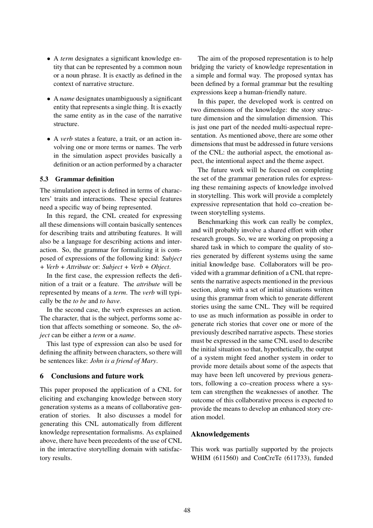- A *term* designates a significant knowledge entity that can be represented by a common noun or a noun phrase. It is exactly as defined in the context of narrative structure.
- A *name* designates unambiguously a significant entity that represents a single thing. It is exactly the same entity as in the case of the narrative structure.
- A *verb* states a feature, a trait, or an action involving one or more terms or names. The verb in the simulation aspect provides basically a definition or an action performed by a character

#### 5.3 Grammar definition

The simulation aspect is defined in terms of characters' traits and interactions. These special features need a specific way of being represented.

In this regard, the CNL created for expressing all these dimensions will contain basically sentences for describing traits and attributing features. It will also be a language for describing actions and interaction. So, the grammar for formalizing it is composed of expressions of the following kind: *Subject + Verb + Attribute* or: *Subject + Verb + Object*.

In the first case, the expression reflects the definition of a trait or a feature. The *attribute* will be represented by means of a *term*. The *verb* will typically be the *to be* and *to have*.

In the second case, the verb expresses an action. The character, that is the subject, performs some action that affects something or someone. So, the *object* can be either a *term* or a *name*.

This last type of expression can also be used for defining the affinity between characters, so there will be sentences like: *John is a friend of Mary*.

#### 6 Conclusions and future work

This paper proposed the application of a CNL for eliciting and exchanging knowledge between story generation systems as a means of collaborative generation of stories. It also discusses a model for generating this CNL automatically from different knowledge representation formalisms. As explained above, there have been precedents of the use of CNL in the interactive storytelling domain with satisfactory results.

The aim of the proposed representation is to help bridging the variety of knowledge representation in a simple and formal way. The proposed syntax has been defined by a formal grammar but the resulting expressions keep a human-friendly nature.

In this paper, the developed work is centred on two dimensions of the knowledge: the story structure dimension and the simulation dimension. This is just one part of the needed multi-aspectual representation. As mentioned above, there are some other dimensions that must be addressed in future versions of the CNL: the authorial aspect, the emotional aspect, the intentional aspect and the theme aspect.

The future work will be focused on completing the set of the grammar generation rules for expressing these remaining aspects of knowledge involved in storytelling. This work will provide a completely expressive representation that hold co–creation between storytelling systems.

Benchmarking this work can really be complex, and will probably involve a shared effort with other research groups. So, we are working on proposing a shared task in which to compare the quality of stories generated by different systems using the same initial knowledge base. Collaborators will be provided with a grammar definition of a CNL that represents the narrative aspects mentioned in the previous section, along with a set of initial situations written using this grammar from which to generate different stories using the same CNL. They will be required to use as much information as possible in order to generate rich stories that cover one or more of the previously described narrative aspects. These stories must be expressed in the same CNL used to describe the initial situation so that, hypothetically, the output of a system might feed another system in order to provide more details about some of the aspects that may have been left uncovered by previous generators, following a co–creation process where a system can strengthen the weaknesses of another. The outcome of this collaborative process is expected to provide the means to develop an enhanced story creation model.

#### Aknowledgements

This work was partially supported by the projects WHIM (611560) and ConCreTe (611733), funded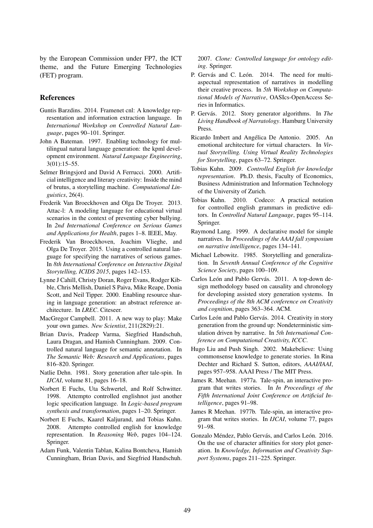by the European Commission under FP7, the ICT theme, and the Future Emerging Technologies (FET) program.

### References

- Guntis Barzdins. 2014. Framenet cnl: A knowledge representation and information extraction language. In *International Workshop on Controlled Natural Language*, pages 90–101. Springer.
- John A Bateman. 1997. Enabling technology for multilingual natural language generation: the kpml development environment. *Natural Language Engineering*, 3(01):15–55.
- Selmer Bringsjord and David A Ferrucci. 2000. Artificial intelligence and literary creativity: Inside the mind of brutus, a storytelling machine. *Computational Linguistics*, 26(4).
- Frederik Van Broeckhoven and Olga De Troyer. 2013. Attac-l: A modeling language for educational virtual scenarios in the context of preventing cyber bullying. In *2nd International Conference on Serious Games and Applications for Health*, pages 1–8. IEEE, May.
- Frederik Van Broeckhoven, Joachim Vlieghe, and Olga De Troyer. 2015. Using a controlled natural language for specifying the narratives of serious games. In *8th International Conference on Interactive Digital Storytelling, ICIDS 2015*, pages 142–153.
- Lynne J Cahill, Christy Doran, Roger Evans, Rodger Kibble, Chris Mellish, Daniel S Paiva, Mike Reape, Donia Scott, and Neil Tipper. 2000. Enabling resource sharing in language generation: an abstract reference architecture. In *LREC*. Citeseer.
- MacGregor Campbell. 2011. A new way to play: Make your own games. *New Scientist*, 211(2829):21.
- Brian Davis, Pradeep Varma, Siegfried Handschuh, Laura Dragan, and Hamish Cunningham. 2009. Controlled natural language for semantic annotation. In *The Semantic Web: Research and Applications*, pages 816–820. Springer.
- Natlie Dehn. 1981. Story generation after tale-spin. In *IJCAI*, volume 81, pages 16–18.
- Norbert E Fuchs, Uta Schwertel, and Rolf Schwitter. 1998. Attempto controlled englishnot just another logic specification language. In *Logic-based program synthesis and transformation*, pages 1–20. Springer.
- Norbert E Fuchs, Kaarel Kaljurand, and Tobias Kuhn. 2008. Attempto controlled english for knowledge representation. In *Reasoning Web*, pages 104–124. Springer.
- Adam Funk, Valentin Tablan, Kalina Bontcheva, Hamish Cunningham, Brian Davis, and Siegfried Handschuh.

2007. *Clone: Controlled language for ontology editing*. Springer.

- P. Gervás and C. León. 2014. The need for multiaspectual representation of narratives in modelling their creative process. In *5th Workshop on Computational Models of Narrative*, OASIcs-OpenAccess Series in Informatics.
- P. Gervás. 2012. Story generator algorithms. In *The Living Handbook of Narratology*. Hamburg University Press.
- Ricardo Imbert and Angélica De Antonio. 2005. An emotional architecture for virtual characters. In *Virtual Storytelling. Using Virtual Reality Technologies for Storytelling*, pages 63–72. Springer.
- Tobias Kuhn. 2009. *Controlled English for knowledge representation*. Ph.D. thesis, Faculty of Economics, Business Administration and Information Technology of the University of Zurich.
- Tobias Kuhn. 2010. Codeco: A practical notation for controlled english grammars in predictive editors. In *Controlled Natural Language*, pages 95–114. Springer.
- Raymond Lang. 1999. A declarative model for simple narratives. In *Proceedings of the AAAI fall symposium on narrative intelligence*, pages 134–141.
- Michael Lebowitz. 1985. Storytelling and generalization. In *Seventh Annual Conference of the Cognitive Science Society*, pages 100–109.
- Carlos León and Pablo Gervás. 2011. A top-down design methodology based on causality and chronology for developing assisted story generation systems. In *Proceedings of the 8th ACM conference on Creativity and cognition*, pages 363–364. ACM.
- Carlos León and Pablo Gervás. 2014. Creativity in story generation from the ground up: Nondeterministic simulation driven by narrative. In *5th International Conference on Computational Creativity, ICCC*.
- Hugo Liu and Push Singh. 2002. Makebelieve: Using commonsense knowledge to generate stories. In Rina Dechter and Richard S. Sutton, editors, *AAAI/IAAI*, pages 957–958. AAAI Press / The MIT Press.
- James R. Meehan. 1977a. Tale-spin, an interactive program that writes stories. In *In Proceedings of the Fifth International Joint Conference on Artificial Intelligence*, pages 91–98.
- James R Meehan. 1977b. Tale-spin, an interactive program that writes stories. In *IJCAI*, volume 77, pages 91–98.
- Gonzalo Méndez, Pablo Gervás, and Carlos León. 2016. On the use of character affinities for story plot generation. In *Knowledge, Information and Creativity Support Systems*, pages 211–225. Springer.